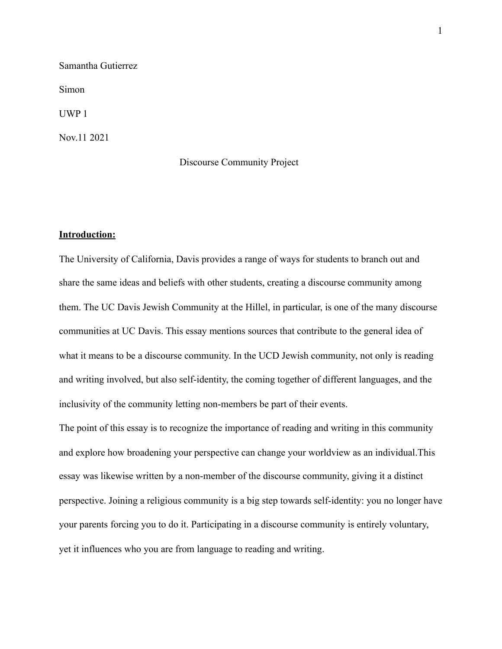Samantha Gutierrez Simon UWP 1 Nov.11 2021

## Discourse Community Project

# **Introduction:**

The University of California, Davis provides a range of ways for students to branch out and share the same ideas and beliefs with other students, creating a discourse community among them. The UC Davis Jewish Community at the Hillel, in particular, is one of the many discourse communities at UC Davis. This essay mentions sources that contribute to the general idea of what it means to be a discourse community. In the UCD Jewish community, not only is reading and writing involved, but also self-identity, the coming together of different languages, and the inclusivity of the community letting non-members be part of their events.

The point of this essay is to recognize the importance of reading and writing in this community and explore how broadening your perspective can change your worldview as an individual.This essay was likewise written by a non-member of the discourse community, giving it a distinct perspective. Joining a religious community is a big step towards self-identity: you no longer have your parents forcing you to do it. Participating in a discourse community is entirely voluntary, yet it influences who you are from language to reading and writing.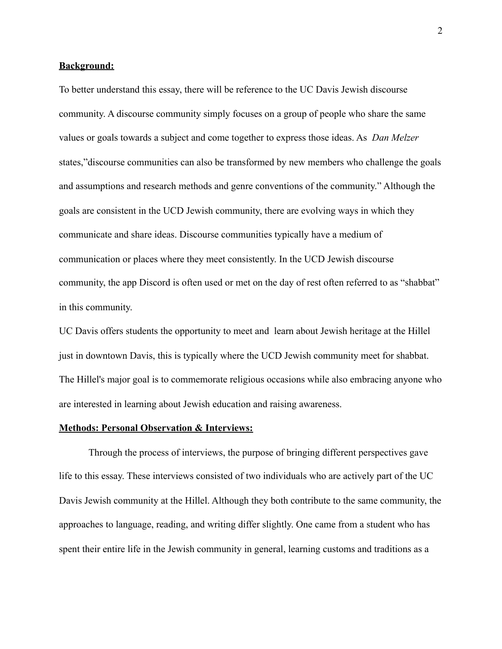## **Background:**

To better understand this essay, there will be reference to the UC Davis Jewish discourse community. A discourse community simply focuses on a group of people who share the same values or goals towards a subject and come together to express those ideas. As *Dan Melzer*  states,"discourse communities can also be transformed by new members who challenge the goals and assumptions and research methods and genre conventions of the community." Although the goals are consistent in the UCD Jewish community, there are evolving ways in which they communicate and share ideas. Discourse communities typically have a medium of communication or places where they meet consistently. In the UCD Jewish discourse community, the app Discord is often used or met on the day of rest often referred to as "shabbat" in this community.

UC Davis offers students the opportunity to meet and learn about Jewish heritage at the Hillel just in downtown Davis, this is typically where the UCD Jewish community meet for shabbat. The Hillel's major goal is to commemorate religious occasions while also embracing anyone who are interested in learning about Jewish education and raising awareness.

## **Methods: Personal Observation & Interviews:**

Through the process of interviews, the purpose of bringing different perspectives gave life to this essay. These interviews consisted of two individuals who are actively part of the UC Davis Jewish community at the Hillel. Although they both contribute to the same community, the approaches to language, reading, and writing differ slightly. One came from a student who has spent their entire life in the Jewish community in general, learning customs and traditions as a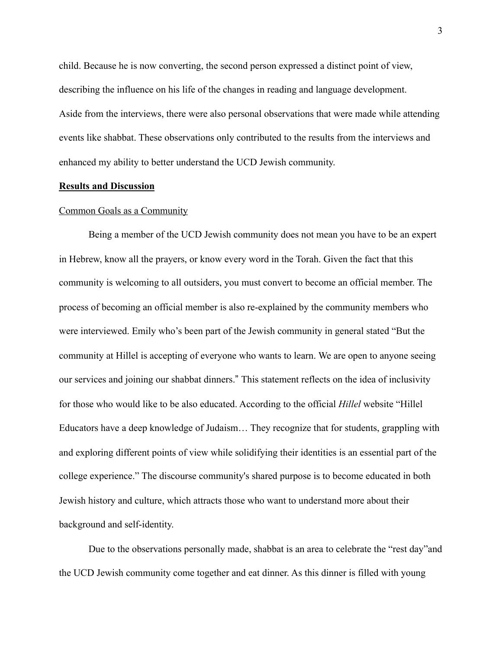child. Because he is now converting, the second person expressed a distinct point of view, describing the influence on his life of the changes in reading and language development. Aside from the interviews, there were also personal observations that were made while attending events like shabbat. These observations only contributed to the results from the interviews and enhanced my ability to better understand the UCD Jewish community.

## **Results and Discussion**

#### Common Goals as a Community

Being a member of the UCD Jewish community does not mean you have to be an expert in Hebrew, know all the prayers, or know every word in the Torah. Given the fact that this community is welcoming to all outsiders, you must convert to become an official member. The process of becoming an official member is also re-explained by the community members who were interviewed. Emily who's been part of the Jewish community in general stated "But the community at Hillel is accepting of everyone who wants to learn. We are open to anyone seeing our services and joining our shabbat dinners." This statement reflects on the idea of inclusivity for those who would like to be also educated. According to the official *Hillel* website "Hillel Educators have a deep knowledge of Judaism… They recognize that for students, grappling with and exploring different points of view while solidifying their identities is an essential part of the college experience." The discourse community's shared purpose is to become educated in both Jewish history and culture, which attracts those who want to understand more about their background and self-identity.

Due to the observations personally made, shabbat is an area to celebrate the "rest day"and the UCD Jewish community come together and eat dinner. As this dinner is filled with young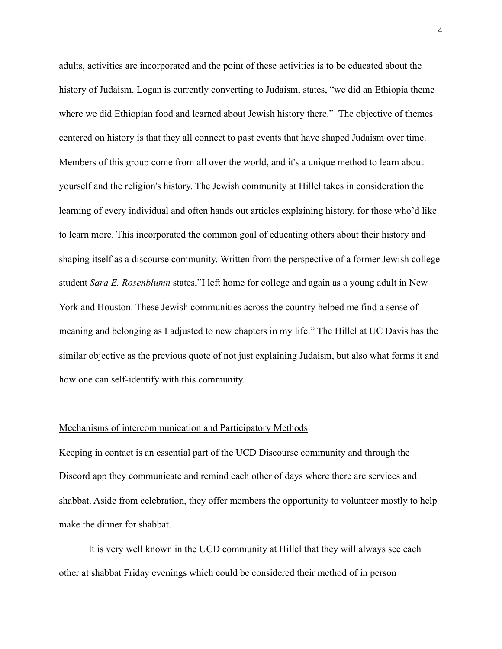adults, activities are incorporated and the point of these activities is to be educated about the history of Judaism. Logan is currently converting to Judaism, states, "we did an Ethiopia theme where we did Ethiopian food and learned about Jewish history there." The objective of themes centered on history is that they all connect to past events that have shaped Judaism over time. Members of this group come from all over the world, and it's a unique method to learn about yourself and the religion's history. The Jewish community at Hillel takes in consideration the learning of every individual and often hands out articles explaining history, for those who'd like to learn more. This incorporated the common goal of educating others about their history and shaping itself as a discourse community. Written from the perspective of a former Jewish college student *Sara E. Rosenblumn* states,"I left home for college and again as a young adult in New York and Houston. These Jewish communities across the country helped me find a sense of meaning and belonging as I adjusted to new chapters in my life." The Hillel at UC Davis has the similar objective as the previous quote of not just explaining Judaism, but also what forms it and how one can self-identify with this community.

## Mechanisms of intercommunication and Participatory Methods

Keeping in contact is an essential part of the UCD Discourse community and through the Discord app they communicate and remind each other of days where there are services and shabbat. Aside from celebration, they offer members the opportunity to volunteer mostly to help make the dinner for shabbat.

It is very well known in the UCD community at Hillel that they will always see each other at shabbat Friday evenings which could be considered their method of in person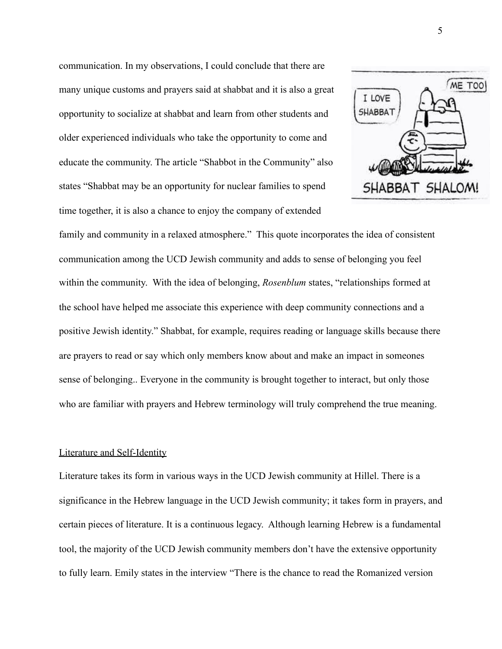communication. In my observations, I could conclude that there are many unique customs and prayers said at shabbat and it is also a great opportunity to socialize at shabbat and learn from other students and older experienced individuals who take the opportunity to come and educate the community. The article "Shabbot in the Community" also states "Shabbat may be an opportunity for nuclear families to spend time together, it is also a chance to enjoy the company of extended



family and community in a relaxed atmosphere." This quote incorporates the idea of consistent communication among the UCD Jewish community and adds to sense of belonging you feel within the community. With the idea of belonging, *Rosenblum* states, "relationships formed at the school have helped me associate this experience with deep community connections and a positive Jewish identity." Shabbat, for example, requires reading or language skills because there are prayers to read or say which only members know about and make an impact in someones sense of belonging.. Everyone in the community is brought together to interact, but only those who are familiar with prayers and Hebrew terminology will truly comprehend the true meaning.

### Literature and Self-Identity

Literature takes its form in various ways in the UCD Jewish community at Hillel. There is a significance in the Hebrew language in the UCD Jewish community; it takes form in prayers, and certain pieces of literature. It is a continuous legacy. Although learning Hebrew is a fundamental tool, the majority of the UCD Jewish community members don't have the extensive opportunity to fully learn. Emily states in the interview "There is the chance to read the Romanized version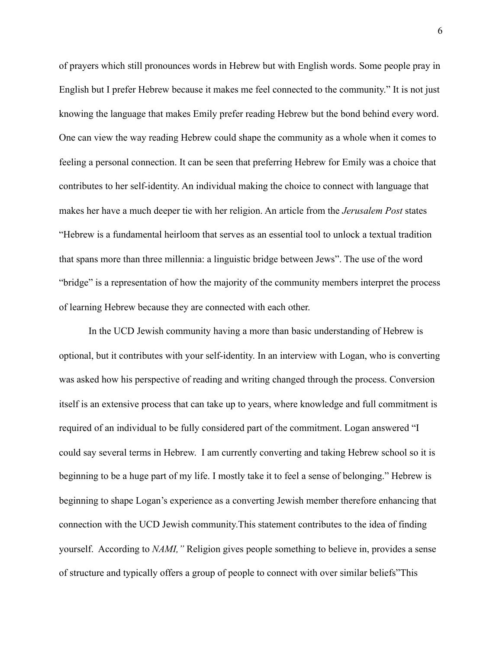of prayers which still pronounces words in Hebrew but with English words. Some people pray in English but I prefer Hebrew because it makes me feel connected to the community." It is not just knowing the language that makes Emily prefer reading Hebrew but the bond behind every word. One can view the way reading Hebrew could shape the community as a whole when it comes to feeling a personal connection. It can be seen that preferring Hebrew for Emily was a choice that contributes to her self-identity. An individual making the choice to connect with language that makes her have a much deeper tie with her religion. An article from the *Jerusalem Post* states "Hebrew is a fundamental heirloom that serves as an essential tool to unlock a textual tradition that spans more than three millennia: a linguistic bridge between Jews". The use of the word "bridge" is a representation of how the majority of the community members interpret the process of learning Hebrew because they are connected with each other.

 In the UCD Jewish community having a more than basic understanding of Hebrew is optional, but it contributes with your self-identity. In an interview with Logan, who is converting was asked how his perspective of reading and writing changed through the process. Conversion itself is an extensive process that can take up to years, where knowledge and full commitment is required of an individual to be fully considered part of the commitment. Logan answered "I could say several terms in Hebrew. I am currently converting and taking Hebrew school so it is beginning to be a huge part of my life. I mostly take it to feel a sense of belonging." Hebrew is beginning to shape Logan's experience as a converting Jewish member therefore enhancing that connection with the UCD Jewish community.This statement contributes to the idea of finding yourself. According to *NAMI,"* Religion gives people something to believe in, provides a sense of structure and typically offers a group of people to connect with over similar beliefs"This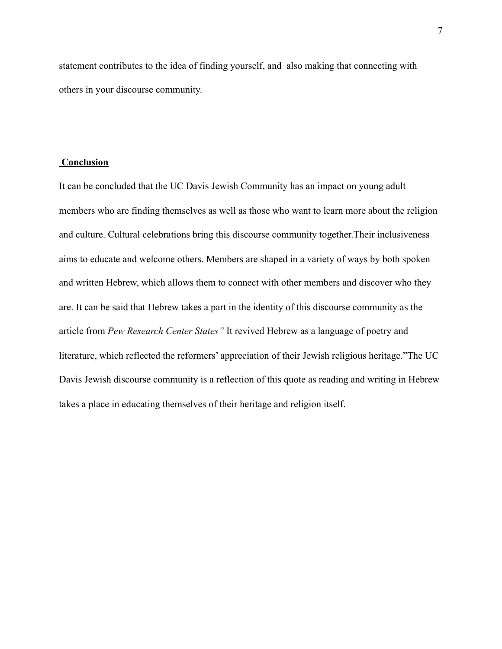statement contributes to the idea of finding yourself, and also making that connecting with others in your discourse community.

# **Conclusion**

It can be concluded that the UC Davis Jewish Community has an impact on young adult members who are finding themselves as well as those who want to learn more about the religion and culture. Cultural celebrations bring this discourse community together.Their inclusiveness aims to educate and welcome others. Members are shaped in a variety of ways by both spoken and written Hebrew, which allows them to connect with other members and discover who they are. It can be said that Hebrew takes a part in the identity of this discourse community as the article from *Pew Research Center States"* It revived Hebrew as a language of poetry and literature, which reflected the reformers' appreciation of their Jewish religious heritage."The UC Davis Jewish discourse community is a reflection of this quote as reading and writing in Hebrew takes a place in educating themselves of their heritage and religion itself.